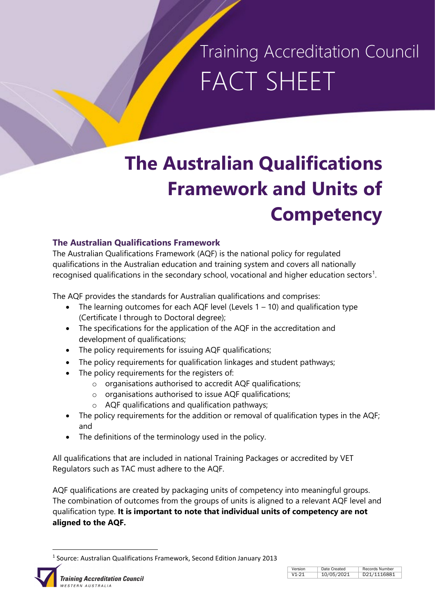# Training Accreditation Council FACT SHEET

### **The Australian Qualifications Framework and Units of Competency**

### **The Australian Qualifications Framework**

The Australian Qualifications Framework (AQF) is the national policy for regulated qualifications in the Australian education and training system and covers all nationally recognised qualifications in the secondary school, vocational and higher education sectors<sup>[1](#page-0-0)</sup>.

The AQF provides the standards for Australian qualifications and comprises:

- The learning outcomes for each AQF level (Levels  $1 10$ ) and qualification type (Certificate I through to Doctoral degree);
- The specifications for the application of the AQF in the accreditation and development of qualifications;
- The policy requirements for issuing AQF qualifications;
- The policy requirements for qualification linkages and student pathways;
- The policy requirements for the registers of:
	- o organisations authorised to accredit AQF qualifications;
	- o organisations authorised to issue AQF qualifications;
	- o AQF qualifications and qualification pathways;
- The policy requirements for the addition or removal of qualification types in the AQF; and
- The definitions of the terminology used in the policy.

All qualifications that are included in national Training Packages or accredited by VET Regulators such as TAC must adhere to the AQF.

AQF qualifications are created by packaging units of competency into meaningful groups. The combination of outcomes from the groups of units is aligned to a relevant AQF level and qualification type. **It is important to note that individual units of competency are not aligned to the AQF.**

 <sup>1</sup> Source: Australian Qualifications Framework, Second Edition January 2013

<span id="page-0-0"></span>

| Version           | Date Created | Records Number |
|-------------------|--------------|----------------|
| V <sub>1-21</sub> | 10/05/2021   | D21/1116881    |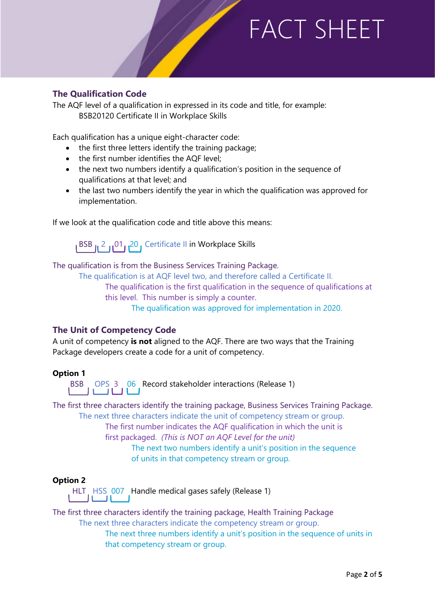### **The Qualification Code**

The AQF level of a qualification in expressed in its code and title, for example: BSB20120 Certificate II in Workplace Skills

Each qualification has a unique eight-character code:

- the first three letters identify the training package;
- the first number identifies the AQF level;
- the next two numbers identify a qualification's position in the sequence of qualifications at that level; and
- the last two numbers identify the year in which the qualification was approved for implementation.

If we look at the qualification code and title above this means:

BSB 12 101 20, Certificate II in Workplace Skills

The qualification is from the Business Services Training Package.

The qualification is at AQF level two, and therefore called a Certificate II.

The qualification is the first qualification in the sequence of qualifications at this level. This number is simply a counter.

The qualification was approved for implementation in 2020.

### **The Unit of Competency Code**

A unit of competency **is not** aligned to the AQF. There are two ways that the Training Package developers create a code for a unit of competency.

### **Option 1**

BSB OPS 3 06 Record stakeholder interactions (Release 1)

The first three characters identify the training package, Business Services Training Package. The next three characters indicate the unit of competency stream or group. The first number indicates the AQF qualification in which the unit is first packaged. *(This is NOT an AQF Level for the unit)* The next two numbers identify a unit's position in the sequence of units in that competency stream or group.

### **Option 2**

HLT HSS 007 Handle medical gases safely (Release 1)

The first three characters identify the training package, Health Training Package

The next three characters indicate the competency stream or group.

The next three numbers identify a unit's position in the sequence of units in that competency stream or group.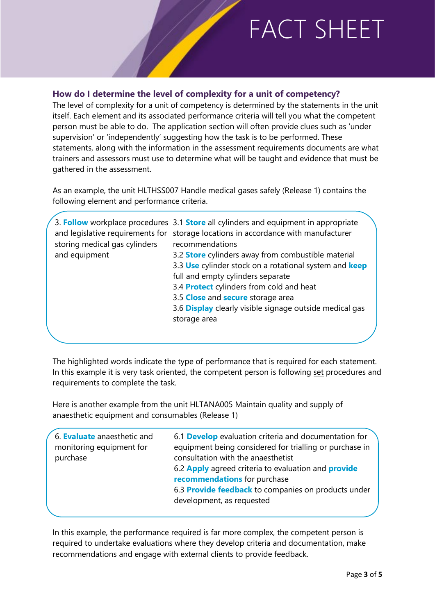### **How do I determine the level of complexity for a unit of competency?**

The level of complexity for a unit of competency is determined by the statements in the unit itself. Each element and its associated performance criteria will tell you what the competent person must be able to do. The application section will often provide clues such as 'under supervision' or 'independently' suggesting how the task is to be performed. These statements, along with the information in the assessment requirements documents are what trainers and assessors must use to determine what will be taught and evidence that must be gathered in the assessment.

As an example, the unit HLTHSS007 Handle medical gases safely (Release 1) contains the following element and performance criteria.

|                               | 3. Follow workplace procedures 3.1 Store all cylinders and equipment in appropriate |  |
|-------------------------------|-------------------------------------------------------------------------------------|--|
|                               | and legislative requirements for storage locations in accordance with manufacturer  |  |
| storing medical gas cylinders | recommendations                                                                     |  |
| and equipment                 | 3.2 <b>Store</b> cylinders away from combustible material                           |  |
|                               | 3.3 Use cylinder stock on a rotational system and keep                              |  |
|                               | full and empty cylinders separate                                                   |  |
|                               | 3.4 <b>Protect</b> cylinders from cold and heat                                     |  |
|                               | 3.5 Close and secure storage area                                                   |  |
|                               | 3.6 Display clearly visible signage outside medical gas                             |  |
|                               | storage area                                                                        |  |
|                               |                                                                                     |  |
|                               |                                                                                     |  |

The highlighted words indicate the type of performance that is required for each statement. In this example it is very task oriented, the competent person is following set procedures and requirements to complete the task.

Here is another example from the unit HLTANA005 Maintain quality and supply of anaesthetic equipment and consumables (Release 1)

| 6. Evaluate anaesthetic and<br>monitoring equipment for<br>purchase | 6.1 <b>Develop</b> evaluation criteria and documentation for<br>equipment being considered for trialling or purchase in<br>consultation with the anaesthetist<br>6.2 Apply agreed criteria to evaluation and <b>provide</b><br>recommendations for purchase<br>6.3 Provide feedback to companies on products under |
|---------------------------------------------------------------------|--------------------------------------------------------------------------------------------------------------------------------------------------------------------------------------------------------------------------------------------------------------------------------------------------------------------|
|                                                                     | development, as requested                                                                                                                                                                                                                                                                                          |
|                                                                     |                                                                                                                                                                                                                                                                                                                    |

In this example, the performance required is far more complex, the competent person is required to undertake evaluations where they develop criteria and documentation, make recommendations and engage with external clients to provide feedback.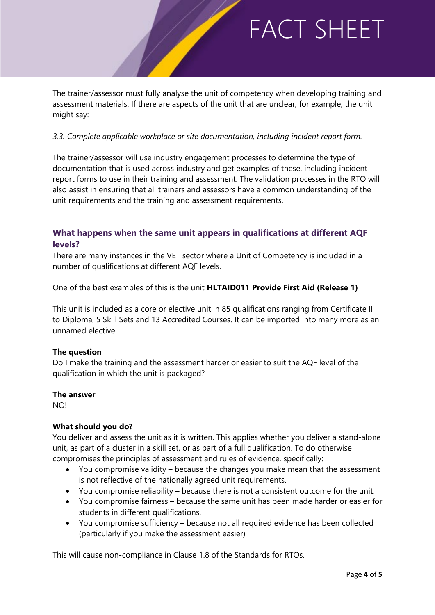The trainer/assessor must fully analyse the unit of competency when developing training and assessment materials. If there are aspects of the unit that are unclear, for example, the unit might say:

### *3.3. Complete applicable workplace or site documentation, including incident report form.*

The trainer/assessor will use industry engagement processes to determine the type of documentation that is used across industry and get examples of these, including incident report forms to use in their training and assessment. The validation processes in the RTO will also assist in ensuring that all trainers and assessors have a common understanding of the unit requirements and the training and assessment requirements.

### **What happens when the same unit appears in qualifications at different AQF levels?**

There are many instances in the VET sector where a Unit of Competency is included in a number of qualifications at different AQF levels.

One of the best examples of this is the unit **HLTAID011 Provide First Aid (Release 1)**

This unit is included as a core or elective unit in 85 qualifications ranging from Certificate II to Diploma, 5 Skill Sets and 13 Accredited Courses. It can be imported into many more as an unnamed elective.

#### **The question**

Do I make the training and the assessment harder or easier to suit the AQF level of the qualification in which the unit is packaged?

#### **The answer**

NO!

### **What should you do?**

You deliver and assess the unit as it is written. This applies whether you deliver a stand-alone unit, as part of a cluster in a skill set, or as part of a full qualification. To do otherwise compromises the principles of assessment and rules of evidence, specifically:

- You compromise validity because the changes you make mean that the assessment is not reflective of the nationally agreed unit requirements.
- You compromise reliability because there is not a consistent outcome for the unit.
- You compromise fairness because the same unit has been made harder or easier for students in different qualifications.
- You compromise sufficiency because not all required evidence has been collected (particularly if you make the assessment easier)

This will cause non-compliance in Clause 1.8 of the Standards for RTOs.